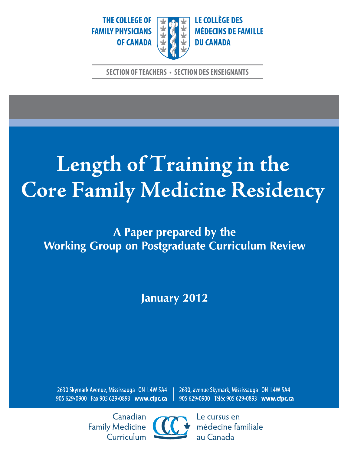THE COLLEGE OF **FAMILY PHYSICIANS OF CANADA** 



**LE COLLÈGE DES MÉDECINS DE FAMILLE DU CANADA** 

**SECTION OF TEACHERS · SECTION DES ENSEIGNANTS** 

# Length of Training in the Core Family Medicine Residency

A Paper prepared by the **Working Group on Postgraduate Curriculum Review** 

**January 2012** 

2630 Skymark Avenue, Mississauga ON L4W 5A4 905 629-0900 Fax 905 629-0893 www.cfpc.ca 2630, avenue Skymark, Mississauga ON L4W 5A4 905 629•0900 Téléc 905 629•0893 www.cfpc.ca

Canadian **Family Medicine** Curriculum



Le cursus en médecine familiale au Canada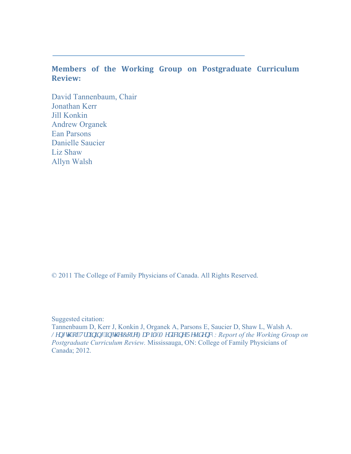## **Members of the Working Group on Postgraduate Curriculum Review:**

 David Tannenbaum, Chair Jonathan Kerr Jill Konkin Andrew Organek Ean Parsons Danielle Saucier Liz Shaw Allyn Walsh

© 2011 The College of Family Physicians of Canada. All Rights Reserved.

Suggested citation:

Tannenbaum D, Kerr J, Konkin J, Organek A, Parsons E, Saucier D, Shaw L, Walsh A. *Ngpi y "qliVtckpkpi "kp"y g'Eqtg'Hco kn* "Ogf kekpg'Tgukf gpef: Report of the Working Group on *Postgraduate Curriculum Review.* Mississauga, ON: College of Family Physicians of Canada; 2012.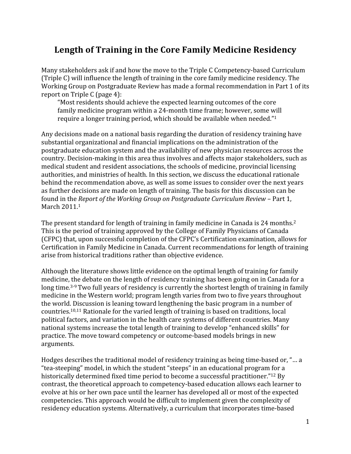## **Length of Training in the Core Family Medicine Residency**

Many stakeholders ask if and how the move to the Triple C Competency‐based Curriculum (Triple C) will influence the length of training in the core family medicine residency. The Working Group on Postgraduate Review has made a formal recommendation in Part 1 of its report on Triple C (page 4):

"Most residents should achieve the expected learning outcomes of the core family medicine program within a 24‐month time frame; however, some will require a longer training period, which should be available when needed."1

Any decisions made on a national basis regarding the duration of residency training have substantial organizational and financial implications on the administration of the postgraduate education system and the availability of new physician resources across the country. Decision‐making in this area thus involves and affects major stakeholders, such as medical student and resident associations, the schools of medicine, provincial licensing authorities, and ministries of health. In this section, we discuss the educational rationale behind the recommendation above, as well as some issues to consider over the next years as further decisions are made on length of training. The basis for this discussion can be found in the *Report of the Working Group on Postgraduate Curriculum Review* – Part 1, March 2011.<sup>1</sup>

The present standard for length of training in family medicine in Canada is 24 months.<sup>2</sup> This is the period of training approved by the College of Family Physicians of Canada (CFPC) that, upon successful completion of the CFPC's Certification examination, allows for Certification in Family Medicine in Canada. Current recommendations for length of training arise from historical traditions rather than objective evidence.

Although the literature shows little evidence on the optimal length of training for family medicine, the debate on the length of residency training has been going on in Canada for a long time*.* 3‐9 Two full years of residency is currently the shortest length of training in family medicine in the Western world; program length varies from two to five years throughout the world. Discussion is leaning toward lengthening the basic program in a number of countries.10,11 Rationale for the varied length of training is based on traditions, local political factors, and variation in the health care systems of different countries. Many national systems increase the total length of training to develop "enhanced skills" for practice. The move toward competency or outcome‐based models brings in new arguments.

Hodges describes the traditional model of residency training as being time‐based or, "… a "tea‐steeping" model, in which the student "steeps" in an educational program for a historically determined fixed time period to become a successful practitioner."12 By contrast, the theoretical approach to competency‐based education allows each learner to evolve at his or her own pace until the learner has developed all or most of the expected competencies. This approach would be difficult to implement given the complexity of residency education systems. Alternatively, a curriculum that incorporates time‐based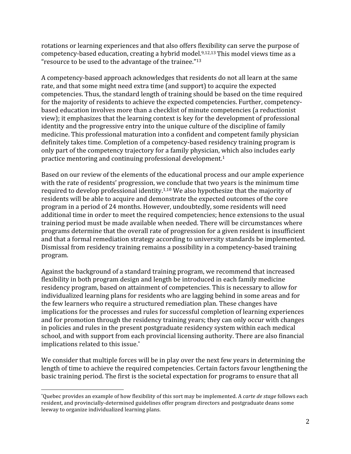rotations or learning experiences and that also offers flexibility can serve the purpose of competency-based education, creating a hybrid model.<sup>9,12,13</sup> This model views time as a "resource to be used to the advantage of the trainee."13

A competency‐based approach acknowledges that residents do not all learn at the same rate, and that some might need extra time (and support) to acquire the expected competencies. Thus, the standard length of training should be based on the time required for the majority of residents to achieve the expected competencies. Further, competencybased education involves more than a checklist of minute competencies (a reductionist view); it emphasizes that the learning context is key for the development of professional identity and the progressive entry into the unique culture of the discipline of family medicine. This professional maturation into a confident and competent family physician definitely takes time. Completion of a competency‐based residency training program is only part of the competency trajectory for a family physician, which also includes early practice mentoring and continuing professional development.1

Based on our review of the elements of the educational process and our ample experience with the rate of residents' progression, we conclude that two years is the minimum time required to develop professional identity.1,10 We also hypothesize that the majority of residents will be able to acquire and demonstrate the expected outcomes of the core program in a period of 24 months. However, undoubtedly, some residents will need additional time in order to meet the required competencies; hence extensions to the usual training period must be made available when needed. There will be circumstances where programs determine that the overall rate of progression for a given resident is insufficient and that a formal remediation strategy according to university standards be implemented. Dismissal from residency training remains a possibility in a competency‐based training program.

 individualized learning plans for residents who are lagging behind in some areas and for Against the background of a standard training program, we recommend that increased flexibility in both program design and length be introduced in each family medicine residency program, based on attainment of competencies. This is necessary to allow for the few learners who require a structured remediation plan. These changes have implications for the processes and rules for successful completion of learning experiences and for promotion through the residency training years; they can only occur with changes in policies and rules in the present postgraduate residency system within each medical school, and with support from each provincial licensing authority. There are also financial implications related to this issue.\*

We consider that multiple forces will be in play over the next few years in determining the length of time to achieve the required competencies. Certain factors favour lengthening the basic training period. The first is the societal expectation for programs to ensure that all

  \*Quebec provides an example of how flexibility of this sort may be implemented. A *carte de stage* follows each resident, and provincially‐determined guidelines offer program directors and postgraduate deans some leeway to organize individualized learning plans.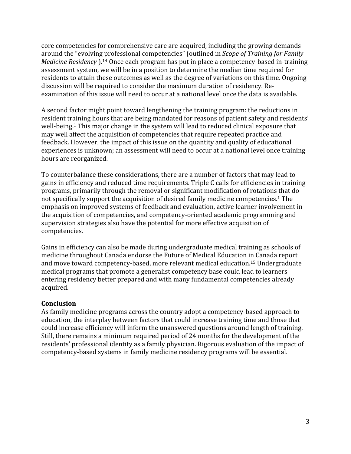residents to attain these outcomes as well as the degree of variations on this time. Ongoing core competencies for comprehensive care are acquired, including the growing demands around the "evolving professional competencies" (outlined in *Scope of Training for Family Medicine Residency* ).<sup>14</sup> Once each program has put in place a competency-based in-training assessment system, we will be in a position to determine the median time required for discussion will be required to consider the maximum duration of residency. Re‐ examination of this issue will need to occur at a national level once the data is available.

A second factor might point toward lengthening the training program: the reductions in resident training hours that are being mandated for reasons of patient safety and residents' well-being.<sup>1</sup> This major change in the system will lead to reduced clinical exposure that may well affect the acquisition of competencies that require repeated practice and feedback. However, the impact of this issue on the quantity and quality of educational experiences is unknown; an assessment will need to occur at a national level once training hours are reorganized.

To counterbalance these considerations, there are a number of factors that may lead to gains in efficiency and reduced time requirements. Triple C calls for efficiencies in training programs, primarily through the removal or significant modification of rotations that do not specifically support the acquisition of desired family medicine competencies.1 The emphasis on improved systems of feedback and evaluation, active learner involvement in the acquisition of competencies, and competency‐oriented academic programming and supervision strategies also have the potential for more effective acquisition of competencies.

Gains in efficiency can also be made during undergraduate medical training as schools of medicine throughout Canada endorse the Future of Medical Education in Canada report and move toward competency‐based, more relevant medical [education.15](https://education.15) Undergraduate medical programs that promote a generalist competency base could lead to learners entering residency better prepared and with many fundamental competencies already acquired.

### **Conclusion**

As family medicine programs across the country adopt a competency‐based approach to education, the interplay between factors that could increase training time and those that could increase efficiency will inform the unanswered questions around length of training. Still, there remains a minimum required period of 24 months for the development of the residents' professional identity as a family physician. Rigorous evaluation of the impact of competency‐based systems in family medicine residency programs will be essential.